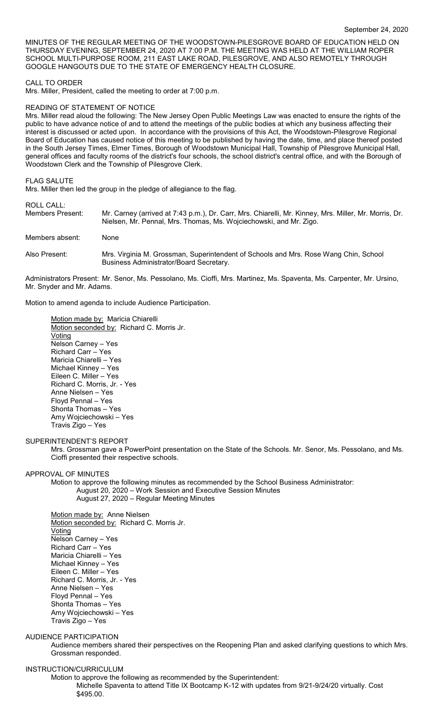MINUTES OF THE REGULAR MEETING OF THE WOODSTOWN-PILESGROVE BOARD OF EDUCATION HELD ON THURSDAY EVENING, SEPTEMBER 24, 2020 AT 7:00 P.M. THE MEETING WAS HELD AT THE WILLIAM ROPER SCHOOL MULTI-PURPOSE ROOM, 211 EAST LAKE ROAD, PILESGROVE, AND ALSO REMOTELY THROUGH GOOGLE HANGOUTS DUE TO THE STATE OF EMERGENCY HEALTH CLOSURE.

### CALL TO ORDER

Mrs. Miller, President, called the meeting to order at 7:00 p.m.

### READING OF STATEMENT OF NOTICE

Mrs. Miller read aloud the following: The New Jersey Open Public Meetings Law was enacted to ensure the rights of the public to have advance notice of and to attend the meetings of the public bodies at which any business affecting their interest is discussed or acted upon. In accordance with the provisions of this Act, the Woodstown-Pilesgrove Regional Board of Education has caused notice of this meeting to be published by having the date, time, and place thereof posted in the South Jersey Times, Elmer Times, Borough of Woodstown Municipal Hall, Township of Pilesgrove Municipal Hall, general offices and faculty rooms of the district's four schools, the school district's central office, and with the Borough of Woodstown Clerk and the Township of Pilesgrove Clerk.

#### FLAG SALUTE

Mrs. Miller then led the group in the pledge of allegiance to the flag.

## ROLL CALL:

| Members Present: | Mr. Carney (arrived at 7:43 p.m.), Dr. Carr, Mrs. Chiarelli, Mr. Kinney, Mrs. Miller, Mr. Morris, Dr.<br>Nielsen, Mr. Pennal, Mrs. Thomas, Ms. Wojciechowski, and Mr. Zigo. |
|------------------|-----------------------------------------------------------------------------------------------------------------------------------------------------------------------------|
| Members absent:  | None                                                                                                                                                                        |
| Also Present:    | Mrs. Virginia M. Grossman, Superintendent of Schools and Mrs. Rose Wang Chin, School<br>Business Administrator/Board Secretary.                                             |
|                  | Administrators Present: Mr. Senor, Ms. Pessolano, Ms. Cioffi, Mrs. Martinez, Ms. Spaventa, Ms. Carpenter, Mr. Ursino,                                                       |

Motion to amend agenda to include Audience Participation.

Motion made by: Maricia Chiarelli Motion seconded by: Richard C. Morris Jr. **Voting** Nelson Carney – Yes Richard Carr – Yes Maricia Chiarelli – Yes Michael Kinney – Yes Eileen C. Miller – Yes Richard C. Morris, Jr. - Yes Anne Nielsen – Yes Floyd Pennal – Yes Shonta Thomas – Yes Amy Wojciechowski – Yes Travis Zigo – Yes

#### SUPERINTENDENT'S REPORT

Mrs. Grossman gave a PowerPoint presentation on the State of the Schools. Mr. Senor, Ms. Pessolano, and Ms. Cioffi presented their respective schools.

## APPROVAL OF MINUTES

Mr. Snyder and Mr. Adams.

Motion to approve the following minutes as recommended by the School Business Administrator: August 20, 2020 – Work Session and Executive Session Minutes August 27, 2020 – Regular Meeting Minutes

Motion made by: Anne Nielsen Motion seconded by: Richard C. Morris Jr. Voting Nelson Carney – Yes Richard Carr – Yes Maricia Chiarelli – Yes Michael Kinney – Yes Eileen C. Miller – Yes Richard C. Morris, Jr. - Yes Anne Nielsen – Yes Floyd Pennal – Yes Shonta Thomas – Yes Amy Wojciechowski – Yes Travis Zigo – Yes

## AUDIENCE PARTICIPATION

Audience members shared their perspectives on the Reopening Plan and asked clarifying questions to which Mrs. Grossman responded.

# INSTRUCTION/CURRICULUM

Motion to approve the following as recommended by the Superintendent: Michelle Spaventa to attend Title IX Bootcamp K-12 with updates from 9/21-9/24/20 virtually. Cost \$495.00.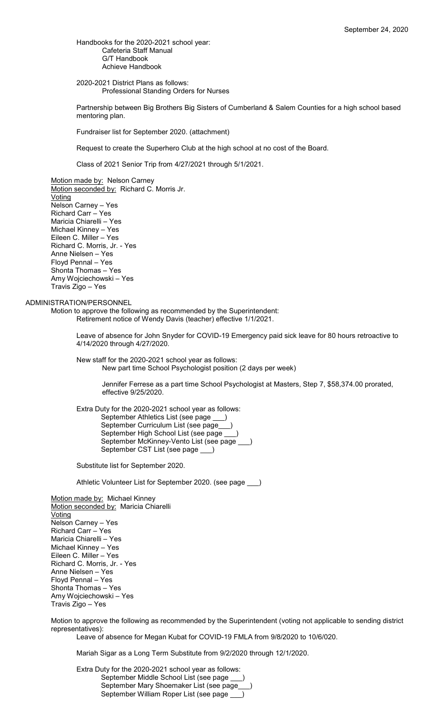Handbooks for the 2020-2021 school year: Cafeteria Staff Manual G/T Handbook Achieve Handbook

2020-2021 District Plans as follows: Professional Standing Orders for Nurses

Partnership between Big Brothers Big Sisters of Cumberland & Salem Counties for a high school based mentoring plan.

Fundraiser list for September 2020. (attachment)

Request to create the Superhero Club at the high school at no cost of the Board.

Class of 2021 Senior Trip from 4/27/2021 through 5/1/2021.

Motion made by: Nelson Carney Motion seconded by: Richard C. Morris Jr. **Voting** Nelson Carney – Yes Richard Carr – Yes Maricia Chiarelli – Yes Michael Kinney – Yes Eileen C. Miller – Yes Richard C. Morris, Jr. - Yes Anne Nielsen – Yes Floyd Pennal – Yes Shonta Thomas – Yes Amy Wojciechowski – Yes Travis Zigo – Yes

## ADMINISTRATION/PERSONNEL

Motion to approve the following as recommended by the Superintendent: Retirement notice of Wendy Davis (teacher) effective 1/1/2021.

> Leave of absence for John Snyder for COVID-19 Emergency paid sick leave for 80 hours retroactive to 4/14/2020 through 4/27/2020.

New staff for the 2020-2021 school year as follows: New part time School Psychologist position (2 days per week)

> Jennifer Ferrese as a part time School Psychologist at Masters, Step 7, \$58,374.00 prorated, effective 9/25/2020.

Extra Duty for the 2020-2021 school year as follows: September Athletics List (see page September Curriculum List (see page\_\_\_) September High School List (see page September McKinney-Vento List (see page \_\_\_) September CST List (see page \_\_\_)

Substitute list for September 2020.

Athletic Volunteer List for September 2020. (see page \_\_\_)

Motion made by: Michael Kinney Motion seconded by: Maricia Chiarelli Voting Nelson Carney – Yes Richard Carr – Yes Maricia Chiarelli – Yes Michael Kinney – Yes Eileen C. Miller – Yes Richard C. Morris, Jr. - Yes Anne Nielsen – Yes Floyd Pennal – Yes Shonta Thomas – Yes Amy Wojciechowski – Yes Travis Zigo – Yes

Motion to approve the following as recommended by the Superintendent (voting not applicable to sending district representatives):

Leave of absence for Megan Kubat for COVID-19 FMLA from 9/8/2020 to 10/6/020.

Mariah Sigar as a Long Term Substitute from 9/2/2020 through 12/1/2020.

Extra Duty for the 2020-2021 school year as follows: September Middle School List (see page \_\_\_) September Mary Shoemaker List (see page\_\_\_) September William Roper List (see page \_\_\_)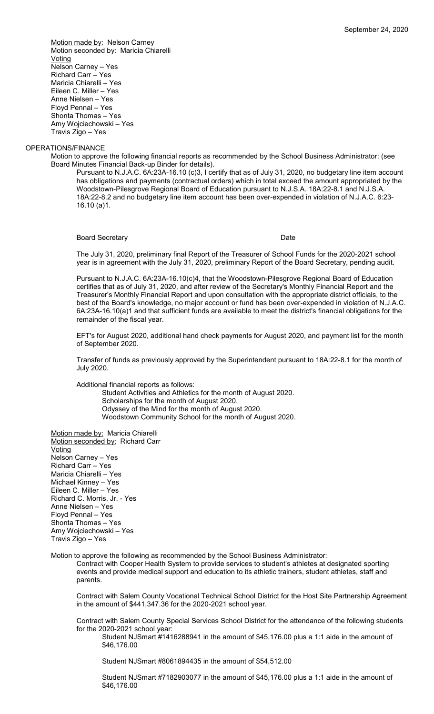Motion made by: Nelson Carney Motion seconded by: Maricia Chiarelli **Voting** Nelson Carney – Yes Richard Carr – Yes Maricia Chiarelli – Yes Eileen C. Miller – Yes Anne Nielsen – Yes Floyd Pennal – Yes Shonta Thomas – Yes Amy Wojciechowski – Yes Travis Zigo – Yes

### OPERATIONS/FINANCE

Motion to approve the following financial reports as recommended by the School Business Administrator: (see Board Minutes Financial Back-up Binder for details).

Pursuant to N.J.A.C. 6A:23A-16.10 (c)3, I certify that as of July 31, 2020, no budgetary line item account has obligations and payments (contractual orders) which in total exceed the amount appropriated by the Woodstown-Pilesgrove Regional Board of Education pursuant to N.J.S.A. 18A:22-8.1 and N.J.S.A. 18A:22-8.2 and no budgetary line item account has been over-expended in violation of N.J.A.C. 6:23- 16.10 (a)1.

Board Secretary **Date** 

\_\_\_\_\_\_\_\_\_\_\_\_\_\_\_\_\_\_\_\_\_\_\_\_\_\_\_\_\_ \_\_\_\_\_\_\_\_\_\_\_\_\_\_\_\_\_\_\_\_\_\_\_\_

The July 31, 2020, preliminary final Report of the Treasurer of School Funds for the 2020-2021 school year is in agreement with the July 31, 2020, preliminary Report of the Board Secretary, pending audit.

Pursuant to N.J.A.C. 6A:23A-16.10(c)4, that the Woodstown-Pilesgrove Regional Board of Education certifies that as of July 31, 2020, and after review of the Secretary's Monthly Financial Report and the Treasurer's Monthly Financial Report and upon consultation with the appropriate district officials, to the best of the Board's knowledge, no major account or fund has been over-expended in violation of N.J.A.C. 6A:23A-16.10(a)1 and that sufficient funds are available to meet the district's financial obligations for the remainder of the fiscal year.

EFT's for August 2020, additional hand check payments for August 2020, and payment list for the month of September 2020.

Transfer of funds as previously approved by the Superintendent pursuant to 18A:22-8.1 for the month of July 2020.

Additional financial reports as follows:

Student Activities and Athletics for the month of August 2020. Scholarships for the month of August 2020. Odyssey of the Mind for the month of August 2020. Woodstown Community School for the month of August 2020.

Motion made by: Maricia Chiarelli Motion seconded by: Richard Carr **Voting** Nelson Carney – Yes Richard Carr – Yes Maricia Chiarelli – Yes Michael Kinney – Yes Eileen C. Miller – Yes Richard C. Morris, Jr. - Yes Anne Nielsen – Yes Floyd Pennal – Yes Shonta Thomas – Yes Amy Wojciechowski – Yes Travis Zigo – Yes

Motion to approve the following as recommended by the School Business Administrator:

Contract with Cooper Health System to provide services to student's athletes at designated sporting events and provide medical support and education to its athletic trainers, student athletes, staff and parents.

Contract with Salem County Vocational Technical School District for the Host Site Partnership Agreement in the amount of \$441,347.36 for the 2020-2021 school year.

Contract with Salem County Special Services School District for the attendance of the following students for the 2020-2021 school year:

Student NJSmart #1416288941 in the amount of \$45,176.00 plus a 1:1 aide in the amount of \$46,176.00

Student NJSmart #8061894435 in the amount of \$54,512.00

Student NJSmart #7182903077 in the amount of \$45,176.00 plus a 1:1 aide in the amount of \$46,176.00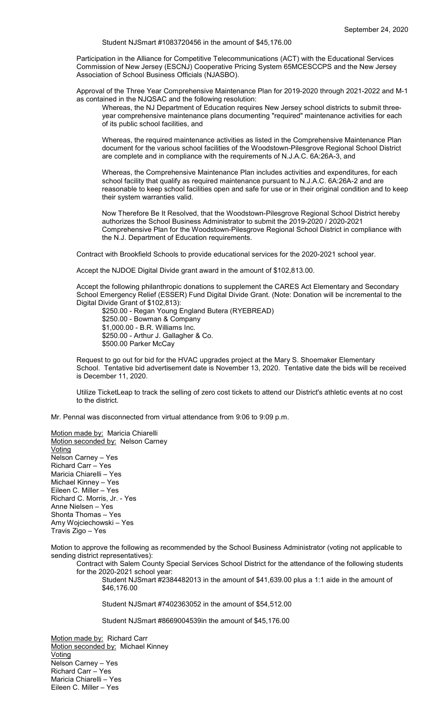Student NJSmart #1083720456 in the amount of \$45,176.00

Participation in the Alliance for Competitive Telecommunications (ACT) with the Educational Services Commission of New Jersey (ESCNJ) Cooperative Pricing System 65MCESCCPS and the New Jersey Association of School Business Officials (NJASBO).

Approval of the Three Year Comprehensive Maintenance Plan for 2019-2020 through 2021-2022 and M-1 as contained in the NJQSAC and the following resolution:

Whereas, the NJ Department of Education requires New Jersey school districts to submit threeyear comprehensive maintenance plans documenting "required" maintenance activities for each of its public school facilities, and

Whereas, the required maintenance activities as listed in the Comprehensive Maintenance Plan document for the various school facilities of the Woodstown-Pilesgrove Regional School District are complete and in compliance with the requirements of N.J.A.C. 6A:26A-3, and

Whereas, the Comprehensive Maintenance Plan includes activities and expenditures, for each school facility that qualify as required maintenance pursuant to N.J.A.C. 6A:26A-2 and are reasonable to keep school facilities open and safe for use or in their original condition and to keep their system warranties valid.

Now Therefore Be It Resolved, that the Woodstown-Pilesgrove Regional School District hereby authorizes the School Business Administrator to submit the 2019-2020 / 2020-2021 Comprehensive Plan for the Woodstown-Pilesgrove Regional School District in compliance with the N.J. Department of Education requirements.

Contract with Brookfield Schools to provide educational services for the 2020-2021 school year.

Accept the NJDOE Digital Divide grant award in the amount of \$102,813.00.

Accept the following philanthropic donations to supplement the CARES Act Elementary and Secondary School Emergency Relief (ESSER) Fund Digital Divide Grant. (Note: Donation will be incremental to the Digital Divide Grant of \$102,813):

\$250.00 - Regan Young England Butera (RYEBREAD) \$250.00 - Bowman & Company \$1,000.00 - B.R. Williams Inc. \$250.00 - Arthur J. Gallagher & Co. \$500.00 Parker McCay

Request to go out for bid for the HVAC upgrades project at the Mary S. Shoemaker Elementary School. Tentative bid advertisement date is November 13, 2020. Tentative date the bids will be received is December 11, 2020.

Utilize TicketLeap to track the selling of zero cost tickets to attend our District's athletic events at no cost to the district.

Mr. Pennal was disconnected from virtual attendance from 9:06 to 9:09 p.m.

Motion made by: Maricia Chiarelli Motion seconded by: Nelson Carney **Voting** Nelson Carney – Yes Richard Carr – Yes Maricia Chiarelli – Yes Michael Kinney – Yes Eileen C. Miller – Yes Richard C. Morris, Jr. - Yes Anne Nielsen – Yes Shonta Thomas – Yes Amy Wojciechowski – Yes Travis Zigo – Yes

Motion to approve the following as recommended by the School Business Administrator (voting not applicable to sending district representatives):

Contract with Salem County Special Services School District for the attendance of the following students for the 2020-2021 school year:

Student NJSmart #2384482013 in the amount of \$41,639.00 plus a 1:1 aide in the amount of \$46,176.00

Student NJSmart #7402363052 in the amount of \$54,512.00

Student NJSmart #8669004539in the amount of \$45,176.00

Motion made by: Richard Carr Motion seconded by: Michael Kinney Voting Nelson Carney – Yes Richard Carr – Yes Maricia Chiarelli – Yes Eileen C. Miller – Yes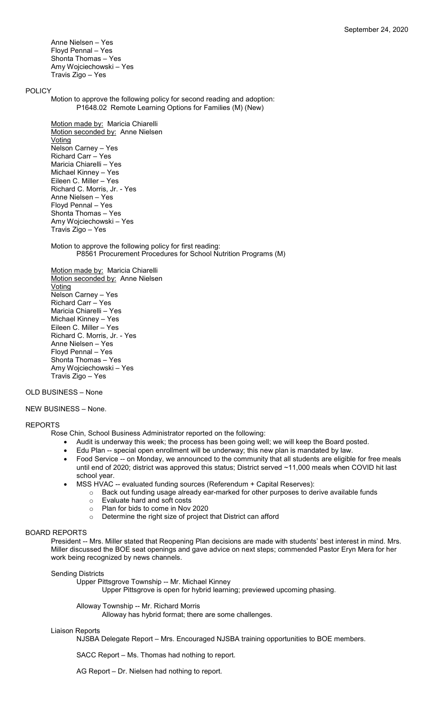Anne Nielsen – Yes Floyd Pennal – Yes Shonta Thomas – Yes Amy Wojciechowski – Yes Travis Zigo – Yes

## POLICY

Motion to approve the following policy for second reading and adoption: P1648.02 Remote Learning Options for Families (M) (New)

Motion made by: Maricia Chiarelli Motion seconded by: Anne Nielsen **Voting** Nelson Carney – Yes Richard Carr – Yes Maricia Chiarelli – Yes Michael Kinney – Yes Eileen C. Miller – Yes Richard C. Morris, Jr. - Yes Anne Nielsen – Yes Floyd Pennal – Yes Shonta Thomas – Yes Amy Wojciechowski – Yes Travis Zigo – Yes

Motion to approve the following policy for first reading: P8561 Procurement Procedures for School Nutrition Programs (M)

Motion made by: Maricia Chiarelli Motion seconded by: Anne Nielsen Voting Nelson Carney – Yes Richard Carr – Yes Maricia Chiarelli – Yes Michael Kinney – Yes Eileen C. Miller – Yes Richard C. Morris, Jr. - Yes Anne Nielsen – Yes Floyd Pennal – Yes Shonta Thomas – Yes Amy Wojciechowski – Yes Travis Zigo – Yes

## OLD BUSINESS – None

## NEW BUSINESS – None.

### REPORTS

- Rose Chin, School Business Administrator reported on the following:
	- Audit is underway this week; the process has been going well; we will keep the Board posted.
	- Edu Plan -- special open enrollment will be underway; this new plan is mandated by law.
	- Food Service -- on Monday, we announced to the community that all students are eligible for free meals until end of 2020; district was approved this status; District served ~11,000 meals when COVID hit last school year.
		- MSS HVAC -- evaluated funding sources (Referendum + Capital Reserves):
			- o Back out funding usage already ear-marked for other purposes to derive available funds
			- o Evaluate hard and soft costs
			- Plan for bids to come in Nov 2020<br>○ Determine the right size of proiect
			- Determine the right size of project that District can afford

## BOARD REPORTS

President -- Mrs. Miller stated that Reopening Plan decisions are made with students' best interest in mind. Mrs. Miller discussed the BOE seat openings and gave advice on next steps; commended Pastor Eryn Mera for her work being recognized by news channels.

### Sending Districts

Upper Pittsgrove Township -- Mr. Michael Kinney

Upper Pittsgrove is open for hybrid learning; previewed upcoming phasing.

Alloway Township -- Mr. Richard Morris

Alloway has hybrid format; there are some challenges.

#### Liaison Reports

NJSBA Delegate Report – Mrs. Encouraged NJSBA training opportunities to BOE members.

SACC Report – Ms. Thomas had nothing to report.

AG Report – Dr. Nielsen had nothing to report.